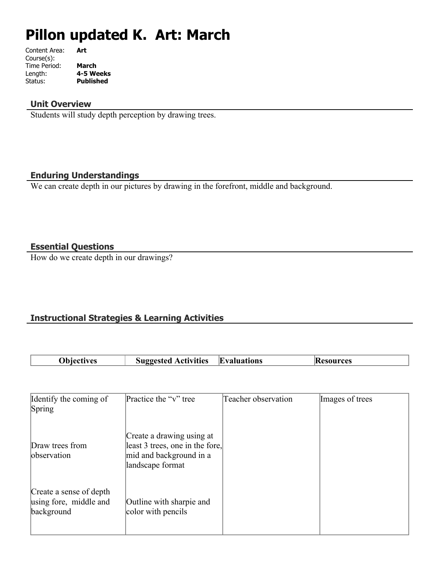# **Pillon updated K. Art: March**

| Art       |
|-----------|
|           |
| March     |
| 4-5 Weeks |
| Published |
|           |

#### **Unit Overview**

Students will study depth perception by drawing trees.

## **Enduring Understandings**

We can create depth in our pictures by drawing in the forefront, middle and background.

## **Essential Questions**

Г

How do we create depth in our drawings?

# **Instructional Strategies & Learning Activities**

| <b>Evaluations</b><br><b>Suggested Activities</b><br><b>Obiectives</b><br><b>Resources</b> |  |
|--------------------------------------------------------------------------------------------|--|
|--------------------------------------------------------------------------------------------|--|

| Identify the coming of<br><b>Spring</b>                         | Practice the "v" tree                                                                                       | Teacher observation | Images of trees |
|-----------------------------------------------------------------|-------------------------------------------------------------------------------------------------------------|---------------------|-----------------|
| Draw trees from<br>observation                                  | Create a drawing using at<br>least 3 trees, one in the fore,<br>mid and background in a<br>landscape format |                     |                 |
| Create a sense of depth<br>using fore, middle and<br>background | Outline with sharpie and<br>color with pencils                                                              |                     |                 |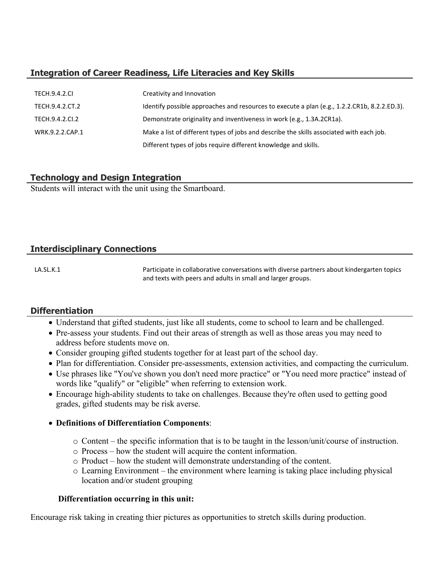# **Integration of Career Readiness, Life Literacies and Key Skills**

| <b>TECH.9.4.2.CL</b> | Creativity and Innovation                                                                    |
|----------------------|----------------------------------------------------------------------------------------------|
| TECH.9.4.2.CT.2      | Identify possible approaches and resources to execute a plan (e.g., 1.2.2.CR1b, 8.2.2.ED.3). |
| TECH.9.4.2.CI.2      | Demonstrate originality and inventiveness in work (e.g., 1.3A.2CR1a).                        |
| WRK.9.2.2.CAP.1      | Make a list of different types of jobs and describe the skills associated with each job.     |
|                      | Different types of jobs require different knowledge and skills.                              |

## **Technology and Design Integration**

Students will interact with the unit using the Smartboard.

# **Interdisciplinary Connections**

LA.SL.K.1 **Participate in collaborative conversations with diverse partners about kindergarten topics** and texts with peers and adults in small and larger groups.

# **Differentiation**

- Understand that gifted students, just like all students, come to school to learn and be challenged.
- Pre-assess your students. Find out their areas of strength as well as those areas you may need to address before students move on.
- Consider grouping gifted students together for at least part of the school day.
- Plan for differentiation. Consider pre-assessments, extension activities, and compacting the curriculum.
- Use phrases like "You've shown you don't need more practice" or "You need more practice" instead of words like "qualify" or "eligible" when referring to extension work.
- Encourage high-ability students to take on challenges. Because they're often used to getting good grades, gifted students may be risk averse.
- **Definitions of Differentiation Components**:
	- o Content the specific information that is to be taught in the lesson/unit/course of instruction.
	- o Process how the student will acquire the content information.
	- o Product how the student will demonstrate understanding of the content.
	- o Learning Environment the environment where learning is taking place including physical location and/or student grouping

#### **Differentiation occurring in this unit:**

Encourage risk taking in creating thier pictures as opportunities to stretch skills during production.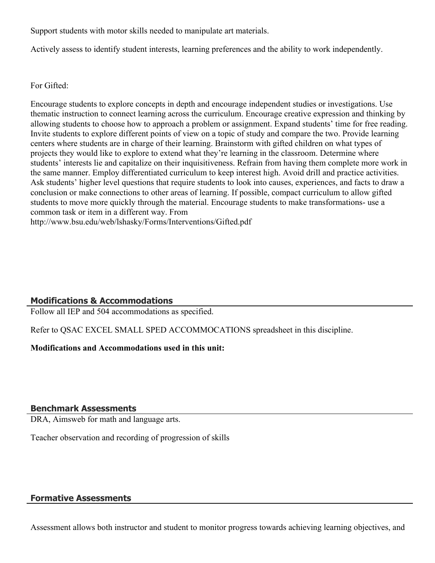Support students with motor skills needed to manipulate art materials.

Actively assess to identify student interests, learning preferences and the ability to work independently.

For Gifted:

Encourage students to explore concepts in depth and encourage independent studies or investigations. Use thematic instruction to connect learning across the curriculum. Encourage creative expression and thinking by allowing students to choose how to approach a problem or assignment. Expand students' time for free reading. Invite students to explore different points of view on a topic of study and compare the two. Provide learning centers where students are in charge of their learning. Brainstorm with gifted children on what types of projects they would like to explore to extend what they're learning in the classroom. Determine where students' interests lie and capitalize on their inquisitiveness. Refrain from having them complete more work in the same manner. Employ differentiated curriculum to keep interest high. Avoid drill and practice activities. Ask students' higher level questions that require students to look into causes, experiences, and facts to draw a conclusion or make connections to other areas of learning. If possible, compact curriculum to allow gifted students to move more quickly through the material. Encourage students to make transformations- use a common task or item in a different way. From http://www.bsu.edu/web/lshasky/Forms/Interventions/Gifted.pdf

# **Modifications & Accommodations**

Follow all IEP and 504 accommodations as specified.

Refer to QSAC EXCEL SMALL SPED ACCOMMOCATIONS spreadsheet in this discipline.

**Modifications and Accommodations used in this unit:**

#### **Benchmark Assessments**

DRA, Aimsweb for math and language arts.

Teacher observation and recording of progression of skills

# **Formative Assessments**

Assessment allows both instructor and student to monitor progress towards achieving learning objectives, and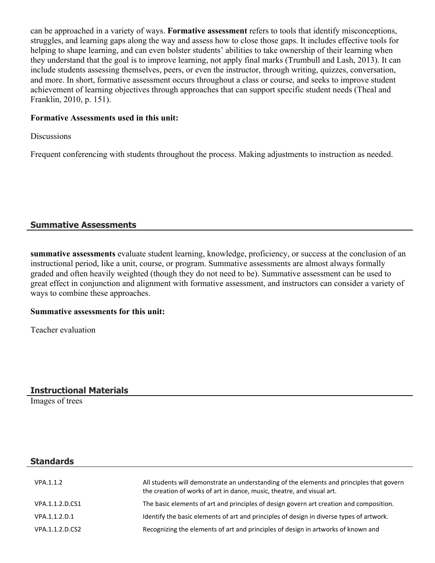can be approached in a variety of ways. **Formative assessment** refers to tools that identify misconceptions, struggles, and learning gaps along the way and assess how to close those gaps. It includes effective tools for helping to shape learning, and can even bolster students' abilities to take ownership of their learning when they understand that the goal is to improve learning, not apply final marks (Trumbull and Lash, 2013). It can include students assessing themselves, peers, or even the instructor, through writing, quizzes, conversation, and more. In short, formative assessment occurs throughout a class or course, and seeks to improve student achievement of learning objectives through approaches that can support specific student needs (Theal and Franklin, 2010, p. 151).

## **Formative Assessments used in this unit:**

**Discussions** 

Frequent conferencing with students throughout the process. Making adjustments to instruction as needed.

## **Summative Assessments**

**summative assessments** evaluate student learning, knowledge, proficiency, or success at the conclusion of an instructional period, like a unit, course, or program. Summative assessments are almost always formally graded and often heavily weighted (though they do not need to be). Summative assessment can be used to great effect in conjunction and alignment with formative assessment, and instructors can consider a variety of ways to combine these approaches.

#### **Summative assessments for this unit:**

Teacher evaluation

#### **Instructional Materials**

Images of trees

#### **Standards**

| VPA.1.1.2       | All students will demonstrate an understanding of the elements and principles that govern<br>the creation of works of art in dance, music, theatre, and visual art. |
|-----------------|---------------------------------------------------------------------------------------------------------------------------------------------------------------------|
| VPA.1.1.2.D.CS1 | The basic elements of art and principles of design govern art creation and composition.                                                                             |
| VPA.1.1.2.D.1   | Identify the basic elements of art and principles of design in diverse types of artwork.                                                                            |
| VPA.1.1.2.D.CS2 | Recognizing the elements of art and principles of design in artworks of known and                                                                                   |